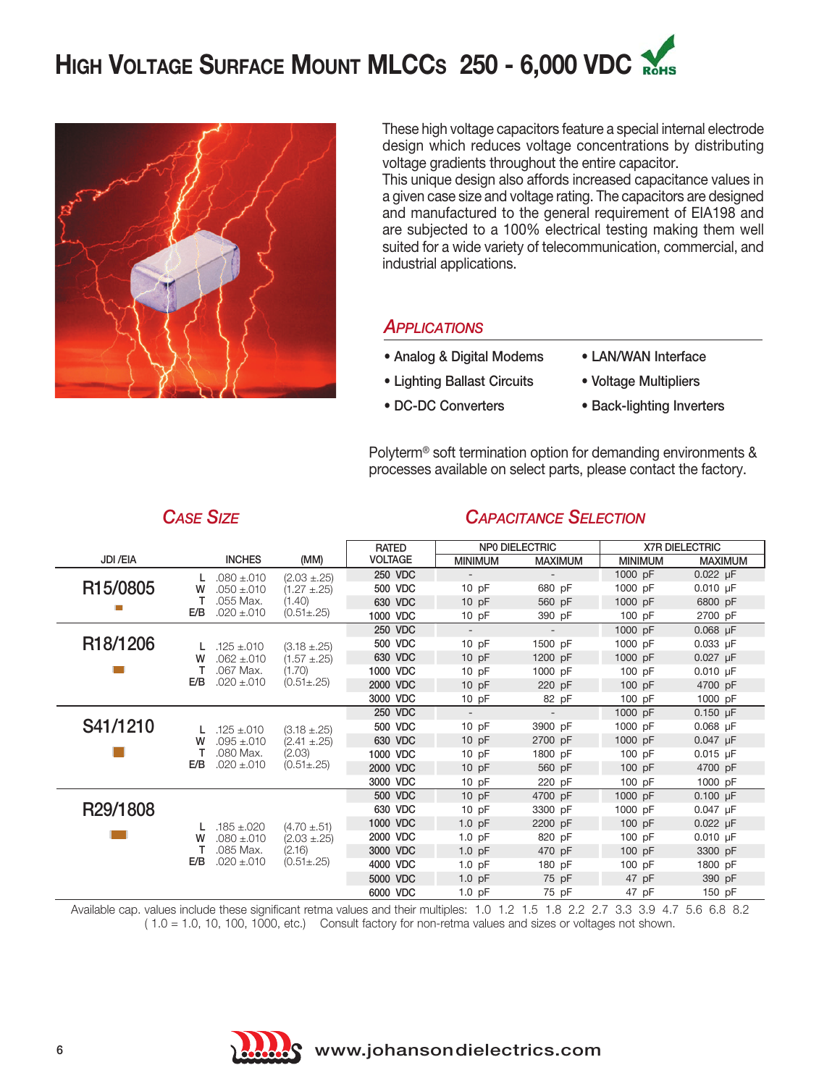



These high voltage capacitors feature a special internal electrode design which reduces voltage concentrations by distributing voltage gradients throughout the entire capacitor.

This unique design also affords increased capacitance values in a given case size and voltage rating. The capacitors are designed and manufactured to the general requirement of EIA198 and are subjected to a 100% electrical testing making them well suited for a wide variety of telecommunication, commercial, and industrial applications.

#### *APPLICATIONS*

- Analog & Digital Modems LAN/WAN Interface
- Lighting Ballast Circuits Voltage Multipliers
- 
- 
- 
- DC-DC Converters Back-lighting Inverters

Polyterm® soft termination option for demanding environments & processes available on select parts, please contact the factory.

|                       |                        |                                                                    | <b>RATED</b>   | <b>NPO DIELECTRIC</b>    |                          | <b>X7R DIELECTRIC</b> |                |
|-----------------------|------------------------|--------------------------------------------------------------------|----------------|--------------------------|--------------------------|-----------------------|----------------|
| JDI / EIA             | <b>INCHES</b>          | (MM)                                                               | <b>VOLTAGE</b> | <b>MINIMUM</b>           | <b>MAXIMUM</b>           | <b>MINIMUM</b>        | <b>MAXIMUM</b> |
| R15/0805              | $.080 + .010$<br>L     | $(2.03 \pm .25)$<br>$(1.27 \pm .25)$<br>(1.40)<br>$(0.51 \pm .25)$ | 250 VDC        |                          |                          | 1000 pF               | $0.022$ µF     |
|                       | $.050 + .010$<br>w     |                                                                    | 500 VDC        | 10pF                     | 680 pF                   | 1000 pF               | $0.010 \mu F$  |
|                       | т<br>.055 Max.         |                                                                    | 630 VDC        | 10pF                     | 560 pF                   | 1000 pF               | 6800 pF        |
|                       | E/B<br>$.020 \pm .010$ |                                                                    | 1000 VDC       | 10pF                     | 390 pF                   | 100pF                 | 2700 pF        |
|                       |                        |                                                                    | 250 VDC        | $\overline{\phantom{a}}$ | $\overline{\phantom{a}}$ | 1000 pF               | $0.068$ µF     |
| R <sub>18</sub> /1206 | $.125 \pm .010$        | $(3.18 \pm .25)$                                                   | 500 VDC        | $10$ pF                  | 1500 pF                  | 1000 pF               | $0.033$ µF     |
|                       | $.062 + .010$<br>w     | $(1.57 \pm .25)$<br>(1.70)<br>$(0.51 \pm .25)$                     | 630 VDC        | 10pF                     | 1200 pF                  | 1000 pF               | $0.027$ µF     |
|                       | .067 Max.              |                                                                    | 1000 VDC       | 10pF                     | 1000 pF                  | $100$ pF              | $0.010$ µF     |
|                       | $.020 \pm .010$<br>E/B |                                                                    | 2000 VDC       | 10pF                     | 220 pF                   | $100$ pF              | 4700 pF        |
|                       |                        |                                                                    | 3000 VDC       | $10$ pF                  | 82 pF                    | 100 pF                | 1000 pF        |
|                       |                        |                                                                    | 250 VDC        |                          |                          | 1000 pF               | $0.150 \mu F$  |
| S41/1210              | $.125 \pm .010$<br>L   | $(3.18 \pm .25)$                                                   | 500 VDC        | 10pF                     | 3900 pF                  | 1000 pF               | $0.068$ µF     |
|                       | $.095 + .010$<br>w     | $(2.41 \pm .25)$<br>(2.03)<br>$(0.51 \pm .25)$                     | 630 VDC        | 10pF                     | 2700 pF                  | 1000 pF               | 0.047 µF       |
|                       | .080 Max.              |                                                                    | 1000 VDC       | 10pF                     | 1800 pF                  | 100 pF                | $0.015$ µF     |
|                       | $.020 \pm .010$<br>E/B |                                                                    | 2000 VDC       | $10$ pF                  | 560 pF                   | 100 pF                | 4700 pF        |
|                       |                        |                                                                    | 3000 VDC       | $10$ pF                  | 220 pF                   | 100 pF                | 1000 pF        |
|                       |                        |                                                                    | 500 VDC        | 10pF                     | 4700 pF                  | 1000 pF               | $0.100 \mu F$  |
| R29/1808              |                        | $(4.70 \pm .51)$<br>$(2.03 \pm .25)$<br>(2.16)<br>$(0.51 \pm .25)$ | 630 VDC        | 10pF                     | 3300 pF                  | 1000 pF               | 0.047 µF       |
|                       | $.185 \pm .020$<br>L   |                                                                    | 1000 VDC       | $1.0$ pF                 | 2200 pF                  | $100p$ F              | $0.022$ µF     |
|                       | $.080 + .010$<br>w     |                                                                    | 2000 VDC       | $1.0$ pF                 | 820 pF                   | $100$ pF              | $0.010$ µF     |
|                       | .085 Max.              |                                                                    | 3000 VDC       | $1.0$ pF                 | 470 pF                   | $100$ pF              | 3300 pF        |
|                       | E/B<br>$.020 \pm .010$ |                                                                    | 4000 VDC       | $1.0$ pF                 | 180 pF                   | 100 pF                | 1800 pF        |
|                       |                        |                                                                    | 5000 VDC       | $1.0$ pF                 | 75 pF                    | 47 pF                 | 390 pF         |
|                       |                        |                                                                    | 6000 VDC       | $1.0$ pF                 | 75 pF                    | 47 pF                 | 150 pF         |

*CASE SIZE CAPACITANCE SELECTION*

Available cap. values include these significant retma values and their multiples: 1.0 1.2 1.5 1.8 2.2 2.7 3.3 3.9 4.7 5.6 6.8 8.2 ( 1.0 = 1.0, 10, 100, 1000, etc.) Consult factory for non-retma values and sizes or voltages not shown.